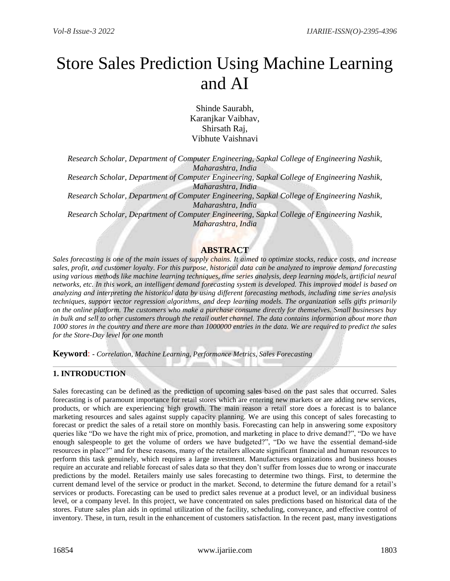# Store Sales Prediction Using Machine Learning and AI

Shinde Saurabh, Karanjkar Vaibhav, Shirsath Raj, Vibhute Vaishnavi

*Research Scholar, Department of Computer Engineering, Sapkal College of Engineering Nashik, Maharashtra, India*

*Research Scholar, Department of Computer Engineering, Sapkal College of Engineering Nashik, Maharashtra, India*

*Research Scholar, Department of Computer Engineering, Sapkal College of Engineering Nashik, Maharashtra, India*

*Research Scholar, Department of Computer Engineering, Sapkal College of Engineering Nashik, Maharashtra, India*

## **ABSTRACT**

*Sales forecasting is one of the main issues of supply chains. It aimed to optimize stocks, reduce costs, and increase sales, profit, and customer loyalty. For this purpose, historical data can be analyzed to improve demand forecasting using various methods like machine learning techniques, time series analysis, deep learning models, artificial neural networks, etc. In this work, an intelligent demand forecasting system is developed. This improved model is based on analyzing and interpreting the historical data by using different forecasting methods, including time series analysis techniques, support vector regression algorithms, and deep learning models. The organization sells gifts primarily on the online platform. The customers who make a purchase consume directly for themselves. Small businesses buy in bulk and sell to other customers through the retail outlet channel. The data contains information about more than 1000 stores in the country and there are more than 1000000 entries in the data. We are required to predict the sales for the Store-Day level for one month*

**Keyword**: **-** *Correlation, Machine Learning, Performance Metrics, Sales Forecasting*

## **1. INTRODUCTION**

Sales forecasting can be defined as the prediction of upcoming sales based on the past sales that occurred. Sales forecasting is of paramount importance for retail stores which are entering new markets or are adding new services, products, or which are experiencing high growth. The main reason a retail store does a forecast is to balance marketing resources and sales against supply capacity planning. We are using this concept of sales forecasting to forecast or predict the sales of a retail store on monthly basis. Forecasting can help in answering some expository queries like "Do we have the right mix of price, promotion, and marketing in place to drive demand?", "Do we have enough salespeople to get the volume of orders we have budgeted?", "Do we have the essential demand-side resources in place?" and for these reasons, many of the retailers allocate significant financial and human resources to perform this task genuinely, which requires a large investment. Manufactures organizations and business houses require an accurate and reliable forecast of sales data so that they don't suffer from losses due to wrong or inaccurate predictions by the model. Retailers mainly use sales forecasting to determine two things. First, to determine the current demand level of the service or product in the market. Second, to determine the future demand for a retail's services or products. Forecasting can be used to predict sales revenue at a product level, or an individual business level, or a company level. In this project, we have concentrated on sales predictions based on historical data of the stores. Future sales plan aids in optimal utilization of the facility, scheduling, conveyance, and effective control of inventory. These, in turn, result in the enhancement of customers satisfaction. In the recent past, many investigations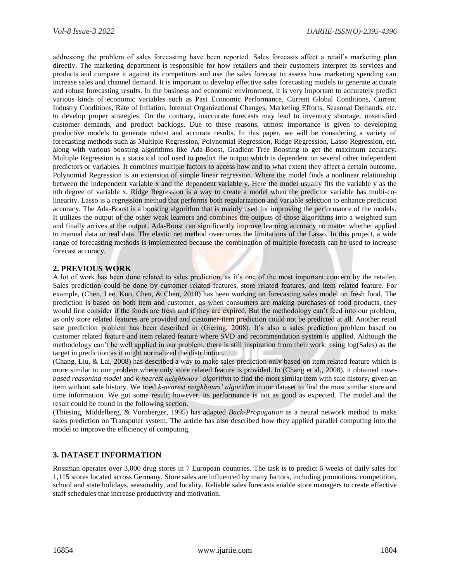addressing the problem of sales forecasting have been reported. Sales forecasts affect a retail's marketing plan directly. The marketing department is responsible for how retailers and their customers interpret its services and products and compare it against its competitors and use the sales forecast to assess how marketing spending can increase sales and channel demand. It is important to develop effective sales forecasting models to generate accurate and robust forecasting results. In the business and economic environment, it is very important to accurately predict various kinds of economic variables such as Past Economic Performance, Current Global Conditions, Current Industry Conditions, Rate of Inflation, Internal Organizational Changes, Marketing Efforts, Seasonal Demands, etc. to develop proper strategies. On the contrary, inaccurate forecasts may lead to inventory shortage, unsatisfied customer demands, and product backlogs. Due to these reasons, utmost importance is given to developing productive models to generate robust and accurate results. In this paper, we will be considering a variety of forecasting methods such as Multiple Regression, Polynomial Regression, Ridge Regression, Lasso Regression, etc. along with various boosting algorithms like Ada-Boost, Gradient Tree Boosting to get the maximum accuracy. Multiple Regression is a statistical tool used to predict the output which is dependent on several other independent predictors or variables. It combines multiple factors to access how and to what extent they affect a certain outcome. Polynomial Regression is an extension of simple linear regression. Where the model finds a nonlinear relationship between the independent variable x and the dependent variable y. Here the model usually fits the variable y as the nth degree of variable x. Ridge Regression is a way to create a model when the predictor variable has multi-colinearity. Lasso is a regression method that performs both regularization and variable selection to enhance prediction accuracy. The Ada-Boost is a boosting algorithm that is mainly used for improving the performance of the models. It utilizes the output of the other weak learners and combines the outputs of those algorithms into a weighted sum and finally arrives at the output. Ada-Boost can significantly improve learning accuracy no matter whether applied to manual data or real data. The elastic net method overcomes the limitations of the Lasso. In this project, a wide range of forecasting methods is implemented because the combination of multiple forecasts can be used to increase forecast accuracy.

## **2. PREVIOUS WORK**

A lot of work has been done related to sales prediction, as it's one of the most important concern by the retailer. Sales prediction could be done by customer related features, store related features, and item related feature. For example, (Chen, Lee, Kuo, Chen, & Chen, 2010) has been working on forecasting sales model on fresh food. The prediction is based on both item and customer, as when consumers are making purchases of food products, they would first consider if the foods are fresh and if they are expired. But the methodology can't feed into our problem, as only store related features are provided and customer-item prediction could not be predicted at all. Another retail sale prediction problem has been described in (Giering, 2008). It's also a sales prediction problem based on customer related feature and item related feature where SVD and recommendation system is applied. Although the methodology can't be well applied in our problem, there is still inspiration from their work: using log(Sales) as the target in prediction as it might normalized the distribution.

(Chang, Liu, & Lai, 2008) has described a way to make sales prediction only based on item related feature which is more similar to our problem where only store related feature is provided. In (Chang et al., 2008), it obtained *casebased reasoning model* and *k-nearest neighbours' algorithm* to find the most similar item with sale history, given an item without sale history. We tried *k-nearest neighbours' algorithm* in our dataset to find the most similar store and time information. We got some result; however, its performance is not as good as expected. The model and the result could be found in the following section.

(Thiesing, Middelberg, & Vornberger, 1995) has adapted *Back-Propagation* as a neural network method to make sales prediction on Transputer system. The article has also described how they applied parallel computing into the model to improve the efficiency of computing.

## **3. DATASET INFORMATION**

Rossman operates over 3,000 drug stores in 7 European countries. The task is to predict 6 weeks of daily sales for 1,115 stores located across Germany. Store sales are influenced by many factors, including promotions, competition, school and state holidays, seasonality, and locality. Reliable sales forecasts enable store managers to create effective staff schedules that increase productivity and motivation.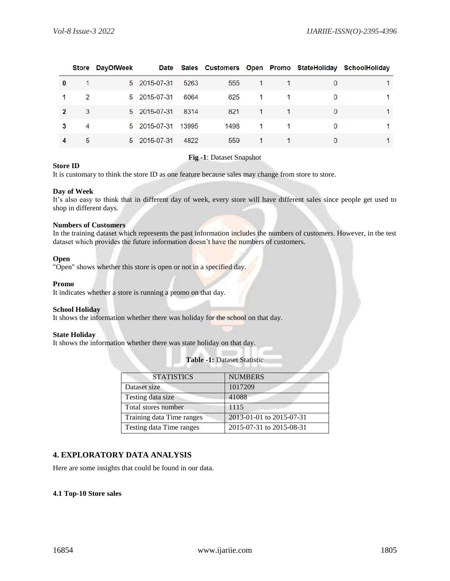|          |   | Store DayOfWeek |                    |      |      |                |          | Date Sales Customers Open Promo StateHoliday SchoolHoliday |
|----------|---|-----------------|--------------------|------|------|----------------|----------|------------------------------------------------------------|
| $\bf{0}$ |   |                 | 5 2015-07-31       | 5263 | 555  | $\mathbf{1}$   |          |                                                            |
|          | 2 |                 | 5 2015-07-31       | 6064 | 625  | 1.             | $\Omega$ |                                                            |
|          | 3 |                 | 5 2015-07-31       | 8314 | 821  | -1             | 0        |                                                            |
|          | 4 |                 | 5 2015-07-31 13995 |      | 1498 | $\overline{1}$ | 0        |                                                            |
|          | 5 |                 | 5 2015-07-31       | 4822 | 559  | 1              | 0        |                                                            |

## **Store ID**

## **Fig -1**: Dataset Snapshot

It is customary to think the store ID as one feature because sales may change from store to store.

#### **Day of Week**

It's also easy to think that in different day of week, every store will have different sales since people get used to shop in different days.

#### **Numbers of Customers**

In the training dataset which represents the past information includes the numbers of customers. However, in the test dataset which provides the future information doesn't have the numbers of customers.

#### **Open**

"Open" shows whether this store is open or not in a specified day.

#### **Promo**

It indicates whether a store is running a promo on that day.

#### **School Holiday**

It shows the information whether there was holiday for the school on that day.

#### **State Holiday**

It shows the information whether there was state holiday on that day.

| <b>STATISTICS</b>         | <b>NUMBERS</b>           |
|---------------------------|--------------------------|
| Dataset size              | 1017209                  |
| Testing data size         | 41088                    |
| Total stores number       | 1115                     |
| Training data Time ranges | 2013-01-01 to 2015-07-31 |
| Testing data Time ranges  | 2015-07-31 to 2015-08-31 |

**Table -1:** Dataset Statistic

## **4. EXPLORATORY DATA ANALYSIS**

Here are some insights that could be found in our data.

## **4.1 Top-10 Store sales**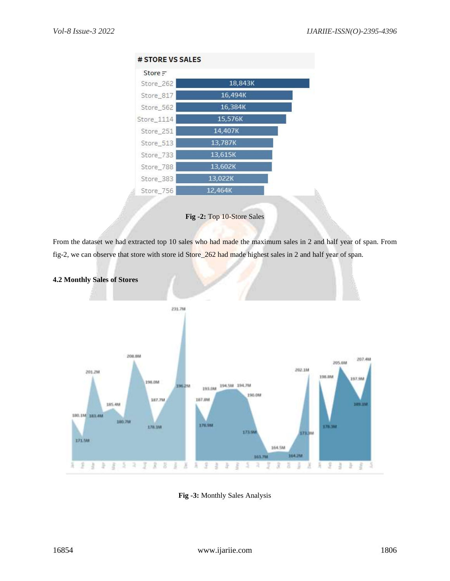| # STORE VS SALES |         |  |
|------------------|---------|--|
| $Store =$        |         |  |
| Store_262        | 18,843K |  |
| Store 817        | 16,494K |  |
| Store 562        | 16,384K |  |
| Store_1114       | 15,576K |  |
| Store 251        | 14,407K |  |
| Store_513        | 13,787K |  |
| Store_733        | 13,615K |  |
| Store 788        | 13,602K |  |
| Store_383        | 13,022K |  |
| Store 756        | 12,464K |  |



From the dataset we had extracted top 10 sales who had made the maximum sales in 2 and half year of span. From fig-2, we can observe that store with store id Store\_262 had made highest sales in 2 and half year of span.



## **4.2 Monthly Sales of Stores**

**Fig -3:** Monthly Sales Analysis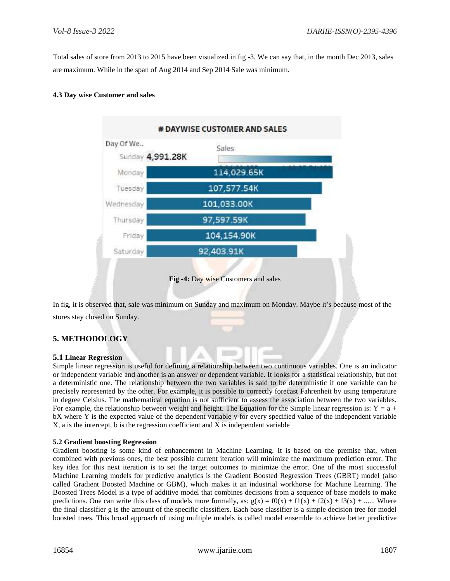Total sales of store from 2013 to 2015 have been visualized in fig -3. We can say that, in the month Dec 2013, sales are maximum. While in the span of Aug 2014 and Sep 2014 Sale was minimum.

## **4.3 Day wise Customer and sales**



In fig, it is observed that, sale was minimum on Sunday and maximum on Monday. Maybe it's because most of the stores stay closed on Sunday.

## **5. METHODOLOGY**

## **5.1 Linear Regression**

Simple linear regression is useful for defining a relationship between two continuous variables. One is an indicator or independent variable and another is an answer or dependent variable. It looks for a statistical relationship, but not a deterministic one. The relationship between the two variables is said to be deterministic if one variable can be precisely represented by the other. For example, it is possible to correctly forecast Fahrenheit by using temperature in degree Celsius. The mathematical equation is not sufficient to assess the association between the two variables. For example, the relationship between weight and height. The Equation for the Simple linear regression is:  $Y = a +$ bX where Y is the expected value of the dependent variable y for every specified value of the independent variable X, a is the intercept, b is the regression coefficient and X is independent variable

## **5.2 Gradient boosting Regression**

Gradient boosting is some kind of enhancement in Machine Learning. It is based on the premise that, when combined with previous ones, the best possible current iteration will minimize the maximum prediction error. The key idea for this next iteration is to set the target outcomes to minimize the error. One of the most successful Machine Learning models for predictive analytics is the Gradient Boosted Regression Trees (GBRT) model (also called Gradient Boosted Machine or GBM), which makes it an industrial workhorse for Machine Learning. The Boosted Trees Model is a type of additive model that combines decisions from a sequence of base models to make predictions. One can write this class of models more formally, as:  $g(x) = f0(x) + f1(x) + f2(x) + f3(x) + ...$ . Where the final classifier g is the amount of the specific classifiers. Each base classifier is a simple decision tree for model boosted trees. This broad approach of using multiple models is called model ensemble to achieve better predictive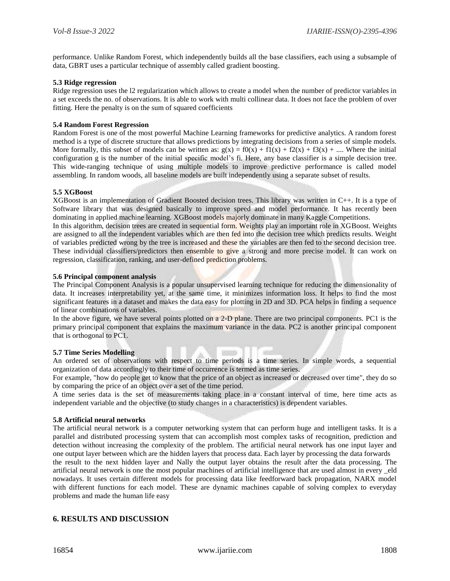performance. Unlike Random Forest, which independently builds all the base classifiers, each using a subsample of data, GBRT uses a particular technique of assembly called gradient boosting.

#### **5.3 Ridge regression**

Ridge regression uses the l2 regularization which allows to create a model when the number of predictor variables in a set exceeds the no. of observations. It is able to work with multi collinear data. It does not face the problem of over fitting. Here the penalty is on the sum of squared coefficients

#### **5.4 Random Forest Regression**

Random Forest is one of the most powerful Machine Learning frameworks for predictive analytics. A random forest method is a type of discrete structure that allows predictions by integrating decisions from a series of simple models. More formally, this subset of models can be written as:  $g(x) = f0(x) + f1(x) + f2(x) + f3(x) + ...$  Where the initial configuration g is the number of the initial specific model's fi. Here, any base classifier is a simple decision tree. This wide-ranging technique of using multiple models to improve predictive performance is called model assembling. In random woods, all baseline models are built independently using a separate subset of results.

#### **5.5 XGBoost**

XGBoost is an implementation of Gradient Boosted decision trees. This library was written in C++. It is a type of Software library that was designed basically to improve speed and model performance. It has recently been dominating in applied machine learning. XGBoost models majorly dominate in many Kaggle Competitions.

In this algorithm, decision trees are created in sequential form. Weights play an important role in XGBoost. Weights are assigned to all the independent variables which are then fed into the decision tree which predicts results. Weight of variables predicted wrong by the tree is increased and these the variables are then fed to the second decision tree. These individual classifiers/predictors then ensemble to give a strong and more precise model. It can work on regression, classification, ranking, and user-defined prediction problems.

#### **5.6 Principal component analysis**

The Principal Component Analysis is a popular unsupervised learning technique for reducing the dimensionality of data. It increases interpretability yet, at the same time, it minimizes information loss. It helps to find the most significant features in a dataset and makes the data easy for plotting in 2D and 3D. PCA helps in finding a sequence of linear combinations of variables.

In the above figure, we have several points plotted on a 2-D plane. There are two principal components. PC1 is the primary principal component that explains the maximum variance in the data. PC2 is another principal component that is orthogonal to PC1.

## **5.7 Time Series Modelling**

An ordered set of observations with respect to time periods is a time series. In simple words, a sequential organization of data accordingly to their time of occurrence is termed as time series.

For example, "how do people get to know that the price of an object as increased or decreased over time", they do so by comparing the price of an object over a set of the time period.

A time series data is the set of measurements taking place in a constant interval of time, here time acts as independent variable and the objective (to study changes in a characteristics) is dependent variables.

#### **5.8 Artificial neural networks**

The artificial neural network is a computer networking system that can perform huge and intelligent tasks. It is a parallel and distributed processing system that can accomplish most complex tasks of recognition, prediction and detection without increasing the complexity of the problem. The artificial neural network has one input layer and one output layer between which are the hidden layers that process data. Each layer by processing the data forwards

the result to the next hidden layer and Nally the output layer obtains the result after the data processing. The artificial neural network is one the most popular machines of artificial intelligence that are used almost in every \_eld nowadays. It uses certain different models for processing data like feedforward back propagation, NARX model with different functions for each model. These are dynamic machines capable of solving complex to everyday problems and made the human life easy

## **6. RESULTS AND DISCUSSION**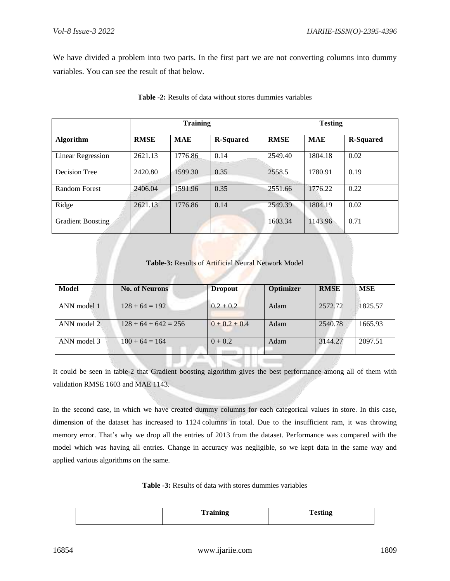We have divided a problem into two parts. In the first part we are not converting columns into dummy variables. You can see the result of that below.

|                          | <b>Training</b> |            |                  | <b>Testing</b> |            |                  |
|--------------------------|-----------------|------------|------------------|----------------|------------|------------------|
| <b>Algorithm</b>         | <b>RMSE</b>     | <b>MAE</b> | <b>R-Squared</b> | <b>RMSE</b>    | <b>MAE</b> | <b>R-Squared</b> |
| <b>Linear Regression</b> | 2621.13         | 1776.86    | 0.14             | 2549.40        | 1804.18    | 0.02             |
| Decision Tree            | 2420.80         | 1599.30    | 0.35             | 2558.5         | 1780.91    | 0.19             |
| <b>Random Forest</b>     | 2406.04         | 1591.96    | 0.35             | 2551.66        | 1776.22    | 0.22             |
| Ridge                    | 2621.13         | 1776.86    | 0.14             | 2549.39        | 1804.19    | 0.02             |
| <b>Gradient Boosting</b> |                 |            |                  | 1603.34        | 1143.96    | 0.71             |

## **Table -2:** Results of data without stores dummies variables

## **Table-3:** Results of Artificial Neural Network Model

| Model       | <b>No. of Neurons</b>  | <b>Dropout</b>  | Optimizer | <b>RMSE</b> | MSE     |
|-------------|------------------------|-----------------|-----------|-------------|---------|
| ANN model 1 | $128 + 64 = 192$       | $0.2 + 0.2$     | Adam      | 2572.72     | 1825.57 |
| ANN model 2 | $128 + 64 + 642 = 256$ | $0 + 0.2 + 0.4$ | Adam      | 2540.78     | 1665.93 |
| ANN model 3 | $100 + 64 = 164$       | $0 + 0.2$       | Adam      | 3144.27     | 2097.51 |

It could be seen in table-2 that Gradient boosting algorithm gives the best performance among all of them with validation RMSE 1603 and MAE 1143.

In the second case, in which we have created dummy columns for each categorical values in store. In this case, dimension of the dataset has increased to 1124 columns in total. Due to the insufficient ram, it was throwing memory error. That's why we drop all the entries of 2013 from the dataset. Performance was compared with the model which was having all entries. Change in accuracy was negligible, so we kept data in the same way and applied various algorithms on the same.

**Table -3:** Results of data with stores dummies variables

| <b>Training</b> | Tooting<br>1 coung |
|-----------------|--------------------|
|                 |                    |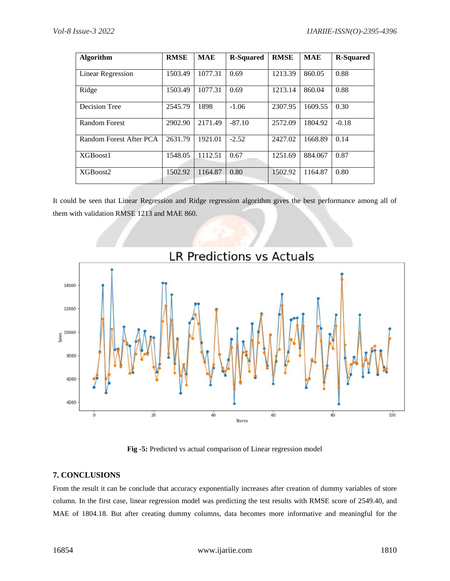| <b>Algorithm</b>        | <b>RMSE</b> | <b>MAE</b> | <b>R-Squared</b> | <b>RMSE</b> | <b>MAE</b> | <b>R-Squared</b> |
|-------------------------|-------------|------------|------------------|-------------|------------|------------------|
| Linear Regression       | 1503.49     | 1077.31    | 0.69             | 1213.39     | 860.05     | 0.88             |
| Ridge                   | 1503.49     | 1077.31    | 0.69             | 1213.14     | 860.04     | 0.88             |
| Decision Tree           | 2545.79     | 1898       | $-1.06$          | 2307.95     | 1609.55    | 0.30             |
| <b>Random Forest</b>    | 2902.90     | 2171.49    | $-87.10$         | 2572.09     | 1804.92    | $-0.18$          |
| Random Forest After PCA | 2631.79     | 1921.01    | $-2.52$          | 2427.02     | 1668.89    | 0.14             |
| XGBoost1                | 1548.05     | 1112.51    | 0.67             | 1251.69     | 884.067    | 0.87             |
| XGBoost2                | 1502.92     | 1164.87    | 0.80             | 1502.92     | 1164.87    | 0.80             |

It could be seen that Linear Regression and Ridge regression algorithm gives the best performance among all of them with validation RMSE 1213 and MAE 860.



**Fig -5:** Predicted vs actual comparison of Linear regression model

## **7. CONCLUSIONS**

From the result it can be conclude that accuracy exponentially increases after creation of dummy variables of store column. In the first case, linear regression model was predicting the test results with RMSE score of 2549.40, and MAE of 1804.18. But after creating dummy columns, data becomes more informative and meaningful for the